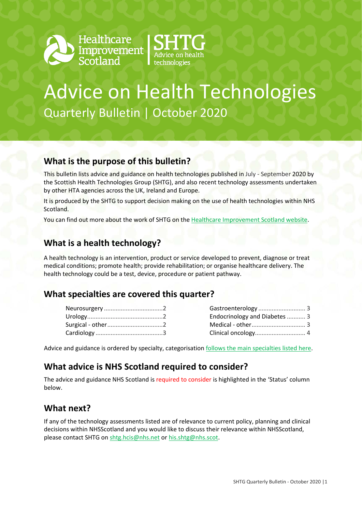



## Advice on Health Technologies Quarterly Bulletin | October 2020

#### **What is the purpose of this bulletin?**

This bulletin lists advice and guidance on health technologies published in July - September 2020 by the Scottish Health Technologies Group (SHTG), and also recent technology assessments undertaken by other HTA agencies across the UK, Ireland and Europe.

It is produced by the SHTG to support decision making on the use of health technologies within NHS Scotland.

You can find out more about the work of SHTG on th[e Healthcare Improvement Scotland website.](http://www.healthcareimprovementscotland.org/our_work/technologies_and_medicines/shtg.aspx)

#### **What is a health technology?**

A health technology is an intervention, product or service developed to prevent, diagnose or treat medical conditions; promote health; provide rehabilitation; or organise healthcare delivery. The health technology could be a test, device, procedure or patient pathway.

#### **What specialties are covered this quarter?**

| Endocrinology and Diabetes  3 |  |
|-------------------------------|--|
|                               |  |
|                               |  |

Advice and guidance is ordered by specialty, categorisatio[n follows the main specialties listed here.](https://www.datadictionary.nhs.uk/web_site_content/supporting_information/main_specialty_and_treatment_function_codes_table.asp)

#### **What advice is NHS Scotland required to consider?**

The advice and guidance NHS Scotland is required to consider is highlighted in the 'Status' column below.

#### **What next?**

If any of the technology assessments listed are of relevance to current policy, planning and clinical decisions within NHSScotland and you would like to discuss their relevance within NHSScotland, pleas[e contact SHTG](mailto:hcis.shtg@nhs.net) o[n shtg.hcis@nhs.net](mailto:shtg.hcis@nhs.net) o[r his.shtg@nhs.scot.](mailto:his.shtg@nhs.scot)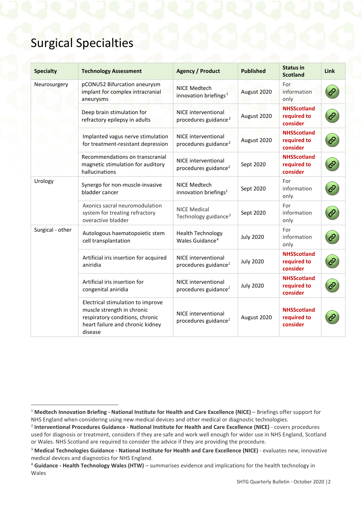### Surgical Specialties

<span id="page-1-1"></span><span id="page-1-0"></span>

| <b>Specialty</b> | <b>Technology Assessment</b>                                                                                                                      | <b>Agency / Product</b>                                        | <b>Published</b> | <b>Status in</b><br><b>Scotland</b>           | <b>Link</b> |
|------------------|---------------------------------------------------------------------------------------------------------------------------------------------------|----------------------------------------------------------------|------------------|-----------------------------------------------|-------------|
| Neurosurgery     | pCONU52 Bifurcation aneurysm<br>implant for complex intracranial<br>aneurysms                                                                     | <b>NICE Medtech</b><br>innovation briefings <sup>1</sup>       | August 2020      | For<br>information<br>only                    |             |
|                  | Deep brain stimulation for<br>refractory epilepsy in adults                                                                                       | <b>NICE</b> interventional<br>procedures guidance <sup>2</sup> | August 2020      | <b>NHSScotland</b><br>required to<br>consider |             |
|                  | Implanted vagus nerve stimulation<br>for treatment-resistant depression                                                                           | <b>NICE interventional</b><br>procedures guidance <sup>2</sup> | August 2020      | <b>NHSScotland</b><br>required to<br>consider |             |
|                  | Recommendations on transcranial<br>magnetic stimulation for auditory<br>hallucinations                                                            | NICE interventional<br>procedures guidance <sup>2</sup>        | Sept 2020        | <b>NHSScotland</b><br>required to<br>consider |             |
| Urology          | Synergo for non-muscle-invasive<br>bladder cancer                                                                                                 | NICE Medtech<br>innovation briefings <sup>1</sup>              | Sept 2020        | For<br>information<br>only                    |             |
|                  | Axonics sacral neuromodulation<br>system for treating refractory<br>overactive bladder                                                            | <b>NICE Medical</b><br>Technology guidance <sup>3</sup>        | Sept 2020        | For<br>information<br>only                    |             |
| Surgical - other | Autologous haematopoietic stem<br>cell transplantation                                                                                            | <b>Health Technology</b><br>Wales Guidance <sup>4</sup>        | <b>July 2020</b> | For<br>information<br>only                    |             |
|                  | Artificial iris insertion for acquired<br>aniridia                                                                                                | NICE interventional<br>procedures guidance <sup>2</sup>        | <b>July 2020</b> | <b>NHSScotland</b><br>required to<br>consider |             |
|                  | Artificial iris insertion for<br>congenital aniridia                                                                                              | NICE interventional<br>procedures guidance <sup>2</sup>        | <b>July 2020</b> | <b>NHSScotland</b><br>required to<br>consider |             |
|                  | Electrical stimulation to improve<br>muscle strength in chronic<br>respiratory conditions, chronic<br>heart failure and chronic kidney<br>disease | NICE interventional<br>procedures guidance <sup>2</sup>        | August 2020      | <b>NHSScotland</b><br>required to<br>consider |             |

<span id="page-1-7"></span><span id="page-1-2"></span> <sup>1</sup> **Medtech Innovation Briefing - National Institute for Health and Care Excellence (NICE)** – Briefings offer support for NHS England when considering using new medical devices and other medical or diagnostic technologies.

<span id="page-1-3"></span><sup>2</sup> **Interventional Procedures Guidance - National Institute for Health and Care Excellence (NICE)** - covers procedures used for diagnosis or treatment, considers if they are safe and work well enough for wider use in NHS England, Scotland or Wales. NHS Scotland are required to consider the advice if they are providing the procedure.

<span id="page-1-5"></span><span id="page-1-4"></span><sup>3</sup> **Medical Technologies Guidance - National Institute for Health and Care Excellence (NICE)** - evaluates new, innovative medical devices and diagnostics for NHS England.

<span id="page-1-6"></span><sup>4</sup> **Guidance - Health Technology Wales (HTW)** – summarises evidence and implications for the health technology in Wales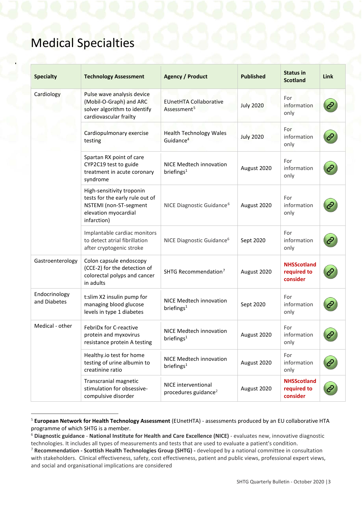## Medical Specialties

<span id="page-2-4"></span><span id="page-2-0"></span>

| <b>Specialty</b>              | <b>Technology Assessment</b>                                                                                                  | <b>Agency / Product</b>                                        | <b>Published</b> | <b>Status in</b><br><b>Scotland</b>           | <b>Link</b> |
|-------------------------------|-------------------------------------------------------------------------------------------------------------------------------|----------------------------------------------------------------|------------------|-----------------------------------------------|-------------|
| Cardiology                    | Pulse wave analysis device<br>(Mobil-O-Graph) and ARC<br>solver algorithm to identify<br>cardiovascular frailty               | <b>EUnetHTA Collaborative</b><br>Assessment <sup>5</sup>       | <b>July 2020</b> | For<br>information<br>only                    |             |
|                               | Cardiopulmonary exercise<br>testing                                                                                           | <b>Health Technology Wales</b><br>Guidance <sup>4</sup>        | <b>July 2020</b> | For<br>information<br>only                    |             |
|                               | Spartan RX point of care<br>CYP2C19 test to guide<br>treatment in acute coronary<br>syndrome                                  | NICE Medtech innovation<br>briefings $1$                       | August 2020      | For<br>information<br>only                    |             |
|                               | High-sensitivity troponin<br>tests for the early rule out of<br>NSTEMI (non-ST-segment<br>elevation myocardial<br>infarction) | NICE Diagnostic Guidance <sup>6</sup>                          | August 2020      | For<br>information<br>only                    |             |
|                               | Implantable cardiac monitors<br>to detect atrial fibrillation<br>after cryptogenic stroke                                     | NICE Diagnostic Guidance <sup>6</sup>                          | Sept 2020        | For<br>information<br>only                    |             |
| Gastroenterology              | Colon capsule endoscopy<br>(CCE-2) for the detection of<br>colorectal polyps and cancer<br>in adults                          | SHTG Recommendation <sup>7</sup>                               | August 2020      | <b>NHSScotland</b><br>required to<br>consider |             |
| Endocrinology<br>and Diabetes | t:slim X2 insulin pump for<br>managing blood glucose<br>levels in type 1 diabetes                                             | NICE Medtech innovation<br>briefings $1$                       | Sept 2020        | For<br>information<br>only                    |             |
| Medical - other               | FebriDx for C-reactive<br>protein and myxovirus<br>resistance protein A testing                                               | NICE Medtech innovation<br>briefings <sup>1</sup>              | August 2020      | For<br>information<br>only                    |             |
|                               | Healthy.io test for home<br>testing of urine albumin to<br>creatinine ratio                                                   | NICE Medtech innovation<br>briefings $1$                       | August 2020      | For<br>information<br>only                    |             |
|                               | Transcranial magnetic<br>stimulation for obsessive-<br>compulsive disorder                                                    | <b>NICE</b> interventional<br>procedures guidance <sup>2</sup> | August 2020      | <b>NHSScotland</b><br>required to<br>consider |             |

<span id="page-2-1"></span> <sup>5</sup> **European Network for Health Technology Assessment** (EUnetHTA) - assessments produced by an EU collaborative HTA programme of which SHTG is a member.

<span id="page-2-2"></span><sup>6</sup> **Diagnostic guidance** - **National Institute for Health and Care Excellence (NICE)** - evaluates new, innovative diagnostic technologies. It includes all types of measurements and tests that are used to evaluate a patient's condition.

<span id="page-2-3"></span><sup>7</sup> **Recommendation - Scottish Health Technologies Group (SHTG) -** developed by a national committee in consultation with stakeholders. Clinical effectiveness, safety, cost effectiveness, patient and public views, professional expert views, and social and organisational implications are considered